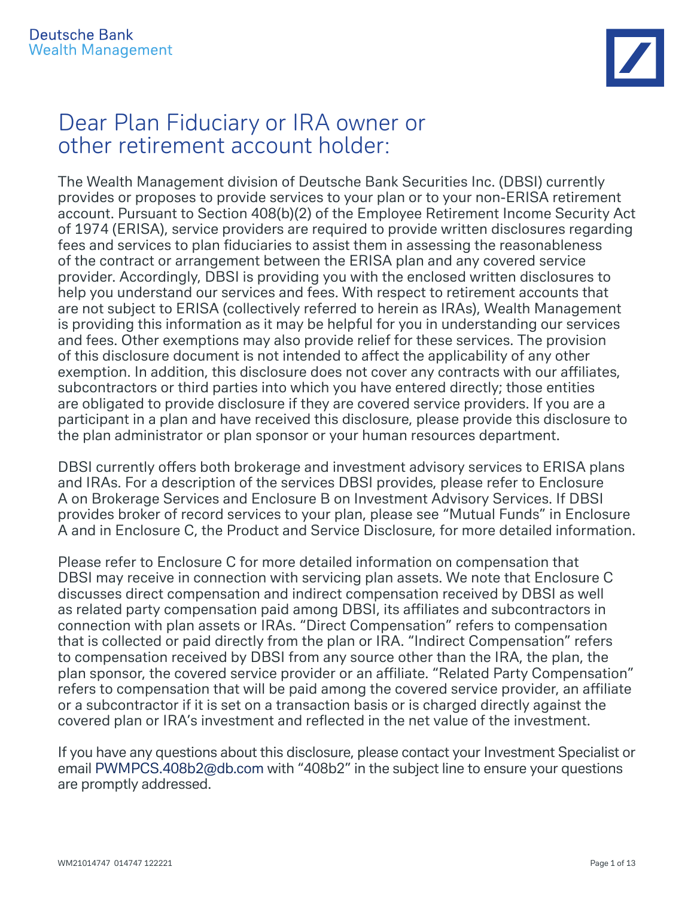# Dear Plan Fiduciary or IRA owner or other retirement account holder:

The Wealth Management division of Deutsche Bank Securities Inc. (DBSI) currently provides or proposes to provide services to your plan or to your non-ERISA retirement account. Pursuant to Section 408(b)(2) of the Employee Retirement Income Security Act of 1974 (ERISA), service providers are required to provide written disclosures regarding fees and services to plan fiduciaries to assist them in assessing the reasonableness of the contract or arrangement between the ERISA plan and any covered service provider. Accordingly, DBSI is providing you with the enclosed written disclosures to help you understand our services and fees. With respect to retirement accounts that are not subject to ERISA (collectively referred to herein as IRAs), Wealth Management is providing this information as it may be helpful for you in understanding our services and fees. Other exemptions may also provide relief for these services. The provision of this disclosure document is not intended to affect the applicability of any other exemption. In addition, this disclosure does not cover any contracts with our affiliates, subcontractors or third parties into which you have entered directly; those entities are obligated to provide disclosure if they are covered service providers. If you are a participant in a plan and have received this disclosure, please provide this disclosure to the plan administrator or plan sponsor or your human resources department.

DBSI currently offers both brokerage and investment advisory services to ERISA plans and IRAs. For a description of the services DBSI provides, please refer to Enclosure A on Brokerage Services and Enclosure B on Investment Advisory Services. If DBSI provides broker of record services to your plan, please see "Mutual Funds" in Enclosure A and in Enclosure C, the Product and Service Disclosure, for more detailed information.

Please refer to Enclosure C for more detailed information on compensation that DBSI may receive in connection with servicing plan assets. We note that Enclosure C discusses direct compensation and indirect compensation received by DBSI as well as related party compensation paid among DBSI, its affiliates and subcontractors in connection with plan assets or IRAs. "Direct Compensation" refers to compensation that is collected or paid directly from the plan or IRA. "Indirect Compensation" refers to compensation received by DBSI from any source other than the IRA, the plan, the plan sponsor, the covered service provider or an affiliate. "Related Party Compensation" refers to compensation that will be paid among the covered service provider, an affiliate or a subcontractor if it is set on a transaction basis or is charged directly against the covered plan or IRA's investment and reflected in the net value of the investment.

If you have any questions about this disclosure, please contact your Investment Specialist or email PWMPCS.408b2@db.com with "408b2" in the subject line to ensure your questions are promptly addressed.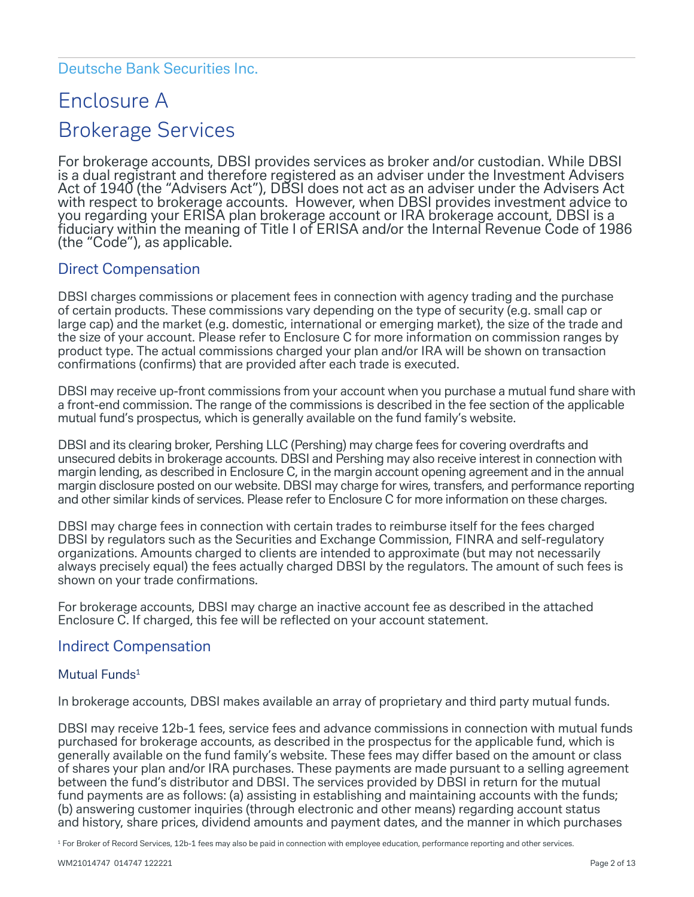#### Deutsche Bank Securities Inc.

# Enclosure A Brokerage Services

For brokerage accounts, DBSI provides services as broker and/or custodian. While DBSI is a dual registrant and therefore registered as an adviser under the Investment Advisers Act of 1940 (the "Advisers Act"), DBSI does not act as an adviser under the Advisers Act with respect to brokerage accounts. However, when DBSI provides investment advice to you regarding your ERISA plan brokerage account or IRA brokerage account, DBSI is a fiduciary within the meaning of Title I of ERISA and/or the Internal Revenue Code of 1986 (the "Code"), as applicable.

#### Direct Compensation

DBSI charges commissions or placement fees in connection with agency trading and the purchase of certain products. These commissions vary depending on the type of security (e.g. small cap or large cap) and the market (e.g. domestic, international or emerging market), the size of the trade and the size of your account. Please refer to Enclosure C for more information on commission ranges by product type. The actual commissions charged your plan and/or IRA will be shown on transaction confirmations (confirms) that are provided after each trade is executed.

DBSI may receive up-front commissions from your account when you purchase a mutual fund share with a front-end commission. The range of the commissions is described in the fee section of the applicable mutual fund's prospectus, which is generally available on the fund family's website.

DBSI and its clearing broker, Pershing LLC (Pershing) may charge fees for covering overdrafts and unsecured debits in brokerage accounts. DBSI and Pershing may also receive interest in connection with margin lending, as described in Enclosure C, in the margin account opening agreement and in the annual margin disclosure posted on our website. DBSI may charge for wires, transfers, and performance reporting and other similar kinds of services. Please refer to Enclosure C for more information on these charges.

DBSI may charge fees in connection with certain trades to reimburse itself for the fees charged DBSI by regulators such as the Securities and Exchange Commission, FINRA and self-regulatory organizations. Amounts charged to clients are intended to approximate (but may not necessarily always precisely equal) the fees actually charged DBSI by the regulators. The amount of such fees is shown on your trade confirmations.

For brokerage accounts, DBSI may charge an inactive account fee as described in the attached Enclosure C. If charged, this fee will be reflected on your account statement.

#### Indirect Compensation

#### Mutual Funds<sup>1</sup>

In brokerage accounts, DBSI makes available an array of proprietary and third party mutual funds.

DBSI may receive 12b-1 fees, service fees and advance commissions in connection with mutual funds purchased for brokerage accounts, as described in the prospectus for the applicable fund, which is generally available on the fund family's website. These fees may differ based on the amount or class of shares your plan and/or IRA purchases. These payments are made pursuant to a selling agreement between the fund's distributor and DBSI. The services provided by DBSI in return for the mutual fund payments are as follows: (a) assisting in establishing and maintaining accounts with the funds; (b) answering customer inquiries (through electronic and other means) regarding account status and history, share prices, dividend amounts and payment dates, and the manner in which purchases

<sup>1</sup> For Broker of Record Services, 12b-1 fees may also be paid in connection with employee education, performance reporting and other services.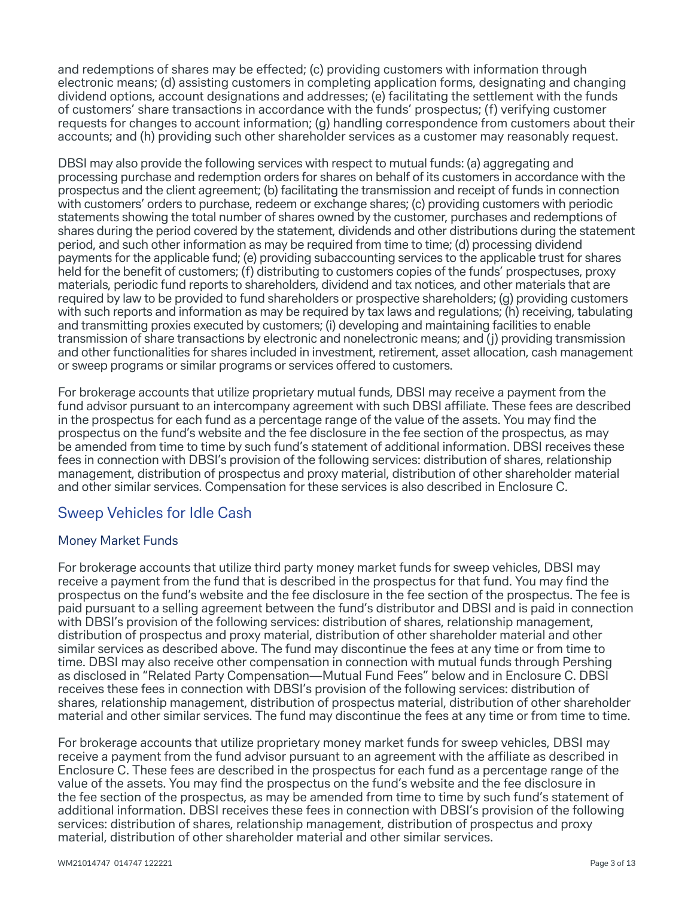and redemptions of shares may be effected; (c) providing customers with information through electronic means; (d) assisting customers in completing application forms, designating and changing dividend options, account designations and addresses; (e) facilitating the settlement with the funds of customers' share transactions in accordance with the funds' prospectus; (f) verifying customer requests for changes to account information; (g) handling correspondence from customers about their accounts; and (h) providing such other shareholder services as a customer may reasonably request.

DBSI may also provide the following services with respect to mutual funds: (a) aggregating and processing purchase and redemption orders for shares on behalf of its customers in accordance with the prospectus and the client agreement; (b) facilitating the transmission and receipt of funds in connection with customers' orders to purchase, redeem or exchange shares; (c) providing customers with periodic statements showing the total number of shares owned by the customer, purchases and redemptions of shares during the period covered by the statement, dividends and other distributions during the statement period, and such other information as may be required from time to time; (d) processing dividend payments for the applicable fund; (e) providing subaccounting services to the applicable trust for shares held for the benefit of customers; (f) distributing to customers copies of the funds' prospectuses, proxy materials, periodic fund reports to shareholders, dividend and tax notices, and other materials that are required by law to be provided to fund shareholders or prospective shareholders; (g) providing customers with such reports and information as may be required by tax laws and regulations; (h) receiving, tabulating and transmitting proxies executed by customers; (i) developing and maintaining facilities to enable transmission of share transactions by electronic and nonelectronic means; and (j) providing transmission and other functionalities for shares included in investment, retirement, asset allocation, cash management or sweep programs or similar programs or services offered to customers.

For brokerage accounts that utilize proprietary mutual funds, DBSI may receive a payment from the fund advisor pursuant to an intercompany agreement with such DBSI affiliate. These fees are described in the prospectus for each fund as a percentage range of the value of the assets. You may find the prospectus on the fund's website and the fee disclosure in the fee section of the prospectus, as may be amended from time to time by such fund's statement of additional information. DBSI receives these fees in connection with DBSI's provision of the following services: distribution of shares, relationship management, distribution of prospectus and proxy material, distribution of other shareholder material and other similar services. Compensation for these services is also described in Enclosure C.

# Sweep Vehicles for Idle Cash

#### Money Market Funds

For brokerage accounts that utilize third party money market funds for sweep vehicles, DBSI may receive a payment from the fund that is described in the prospectus for that fund. You may find the prospectus on the fund's website and the fee disclosure in the fee section of the prospectus. The fee is paid pursuant to a selling agreement between the fund's distributor and DBSI and is paid in connection with DBSI's provision of the following services: distribution of shares, relationship management, distribution of prospectus and proxy material, distribution of other shareholder material and other similar services as described above. The fund may discontinue the fees at any time or from time to time. DBSI may also receive other compensation in connection with mutual funds through Pershing as disclosed in "Related Party Compensation—Mutual Fund Fees" below and in Enclosure C. DBSI receives these fees in connection with DBSI's provision of the following services: distribution of shares, relationship management, distribution of prospectus material, distribution of other shareholder material and other similar services. The fund may discontinue the fees at any time or from time to time.

For brokerage accounts that utilize proprietary money market funds for sweep vehicles, DBSI may receive a payment from the fund advisor pursuant to an agreement with the affiliate as described in Enclosure C. These fees are described in the prospectus for each fund as a percentage range of the value of the assets. You may find the prospectus on the fund's website and the fee disclosure in the fee section of the prospectus, as may be amended from time to time by such fund's statement of additional information. DBSI receives these fees in connection with DBSI's provision of the following services: distribution of shares, relationship management, distribution of prospectus and proxy material, distribution of other shareholder material and other similar services.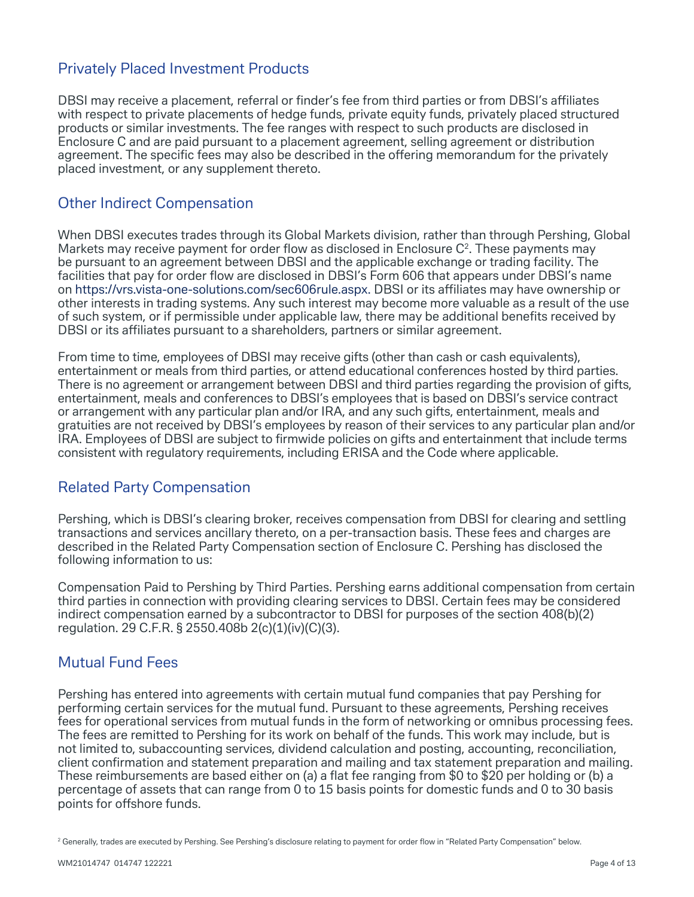#### Privately Placed Investment Products

DBSI may receive a placement, referral or finder's fee from third parties or from DBSI's affiliates with respect to private placements of hedge funds, private equity funds, privately placed structured products or similar investments. The fee ranges with respect to such products are disclosed in Enclosure C and are paid pursuant to a placement agreement, selling agreement or distribution agreement. The specific fees may also be described in the offering memorandum for the privately placed investment, or any supplement thereto.

#### Other Indirect Compensation

When DBSI executes trades through its Global Markets division, rather than through Pershing, Global Markets may receive payment for order flow as disclosed in Enclosure  $C<sup>2</sup>$ . These payments may be pursuant to an agreement between DBSI and the applicable exchange or trading facility. The facilities that pay for order flow are disclosed in DBSI's Form 606 that appears under DBSI's name on https://vrs.vista-one-solutions.com/sec606rule.aspx. DBSI or its affiliates may have ownership or other interests in trading systems. Any such interest may become more valuable as a result of the use of such system, or if permissible under applicable law, there may be additional benefits received by DBSI or its affiliates pursuant to a shareholders, partners or similar agreement.

From time to time, employees of DBSI may receive gifts (other than cash or cash equivalents), entertainment or meals from third parties, or attend educational conferences hosted by third parties. There is no agreement or arrangement between DBSI and third parties regarding the provision of gifts, entertainment, meals and conferences to DBSI's employees that is based on DBSI's service contract or arrangement with any particular plan and/or IRA, and any such gifts, entertainment, meals and gratuities are not received by DBSI's employees by reason of their services to any particular plan and/or IRA. Employees of DBSI are subject to firmwide policies on gifts and entertainment that include terms consistent with regulatory requirements, including ERISA and the Code where applicable.

#### Related Party Compensation

Pershing, which is DBSI's clearing broker, receives compensation from DBSI for clearing and settling transactions and services ancillary thereto, on a per-transaction basis. These fees and charges are described in the Related Party Compensation section of Enclosure C. Pershing has disclosed the following information to us:

Compensation Paid to Pershing by Third Parties. Pershing earns additional compensation from certain third parties in connection with providing clearing services to DBSI. Certain fees may be considered indirect compensation earned by a subcontractor to DBSI for purposes of the section 408(b)(2) regulation. 29 C.F.R. § 2550.408b 2(c)(1)(iv)(C)(3).

### Mutual Fund Fees

Pershing has entered into agreements with certain mutual fund companies that pay Pershing for performing certain services for the mutual fund. Pursuant to these agreements, Pershing receives fees for operational services from mutual funds in the form of networking or omnibus processing fees. The fees are remitted to Pershing for its work on behalf of the funds. This work may include, but is not limited to, subaccounting services, dividend calculation and posting, accounting, reconciliation, client confirmation and statement preparation and mailing and tax statement preparation and mailing. These reimbursements are based either on (a) a flat fee ranging from \$0 to \$20 per holding or (b) a percentage of assets that can range from 0 to 15 basis points for domestic funds and 0 to 30 basis points for offshore funds.

<sup>&</sup>lt;sup>2</sup> Generally, trades are executed by Pershing. See Pershing's disclosure relating to payment for order flow in "Related Party Compensation" below.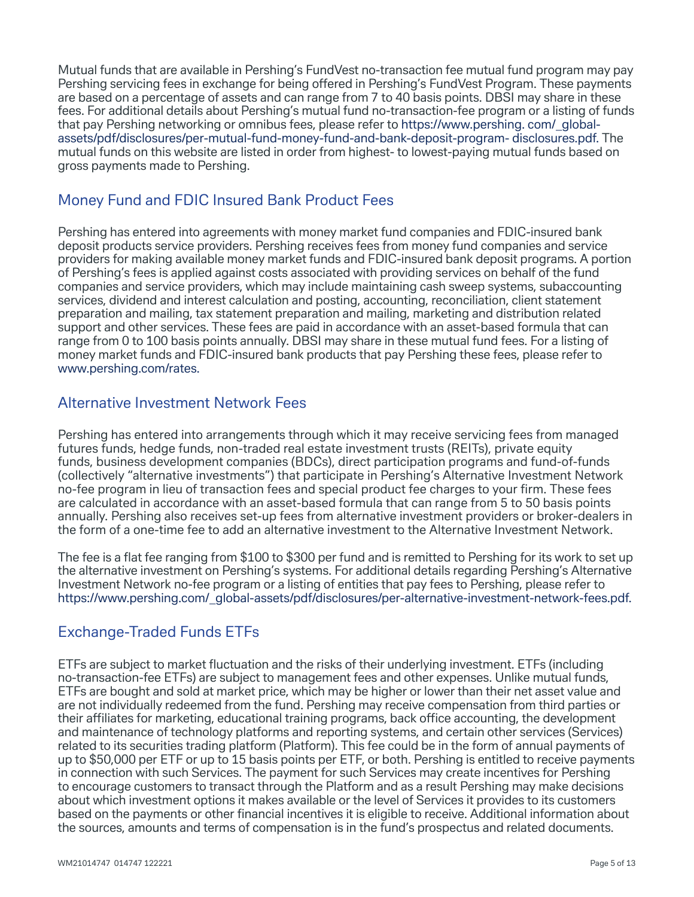Mutual funds that are available in Pershing's FundVest no-transaction fee mutual fund program may pay Pershing servicing fees in exchange for being offered in Pershing's FundVest Program. These payments are based on a percentage of assets and can range from 7 to 40 basis points. DBSI may share in these fees. For additional details about Pershing's mutual fund no-transaction-fee program or a listing of funds that pay Pershing networking or omnibus fees, please refer to [https://www.pershing. com/\\_global](https://www.pershing. com/_global-assets/pdf/disclosures/per-mutual-fund-money-fund-and-bank-deposit-program- disclosures.pdf.)[assets/pdf/disclosures/per-mutual-fund-money-fund-and-bank-deposit-program- disclosures.pdf.](https://www.pershing. com/_global-assets/pdf/disclosures/per-mutual-fund-money-fund-and-bank-deposit-program- disclosures.pdf.) The mutual funds on this website are listed in order from highest- to lowest-paying mutual funds based on gross payments made to Pershing.

### Money Fund and FDIC Insured Bank Product Fees

Pershing has entered into agreements with money market fund companies and FDIC-insured bank deposit products service providers. Pershing receives fees from money fund companies and service providers for making available money market funds and FDIC-insured bank deposit programs. A portion of Pershing's fees is applied against costs associated with providing services on behalf of the fund companies and service providers, which may include maintaining cash sweep systems, subaccounting services, dividend and interest calculation and posting, accounting, reconciliation, client statement preparation and mailing, tax statement preparation and mailing, marketing and distribution related support and other services. These fees are paid in accordance with an asset-based formula that can range from 0 to 100 basis points annually. DBSI may share in these mutual fund fees. For a listing of money market funds and FDIC-insured bank products that pay Pershing these fees, please refer to www.pershing.com/rates.

#### Alternative Investment Network Fees

Pershing has entered into arrangements through which it may receive servicing fees from managed futures funds, hedge funds, non-traded real estate investment trusts (REITs), private equity funds, business development companies (BDCs), direct participation programs and fund-of-funds (collectively "alternative investments") that participate in Pershing's Alternative Investment Network no-fee program in lieu of transaction fees and special product fee charges to your firm. These fees are calculated in accordance with an asset-based formula that can range from 5 to 50 basis points annually. Pershing also receives set-up fees from alternative investment providers or broker-dealers in the form of a one-time fee to add an alternative investment to the Alternative Investment Network.

The fee is a flat fee ranging from \$100 to \$300 per fund and is remitted to Pershing for its work to set up the alternative investment on Pershing's systems. For additional details regarding Pershing's Alternative Investment Network no-fee program or a listing of entities that pay fees to Pershing, please refer to https://www.pershing.com/\_global-assets/pdf/disclosures/per-alternative-investment-network-fees.pdf.

# Exchange-Traded Funds ETFs

ETFs are subject to market fluctuation and the risks of their underlying investment. ETFs (including no-transaction-fee ETFs) are subject to management fees and other expenses. Unlike mutual funds, ETFs are bought and sold at market price, which may be higher or lower than their net asset value and are not individually redeemed from the fund. Pershing may receive compensation from third parties or their affiliates for marketing, educational training programs, back office accounting, the development and maintenance of technology platforms and reporting systems, and certain other services (Services) related to its securities trading platform (Platform). This fee could be in the form of annual payments of up to \$50,000 per ETF or up to 15 basis points per ETF, or both. Pershing is entitled to receive payments in connection with such Services. The payment for such Services may create incentives for Pershing to encourage customers to transact through the Platform and as a result Pershing may make decisions about which investment options it makes available or the level of Services it provides to its customers based on the payments or other financial incentives it is eligible to receive. Additional information about the sources, amounts and terms of compensation is in the fund's prospectus and related documents.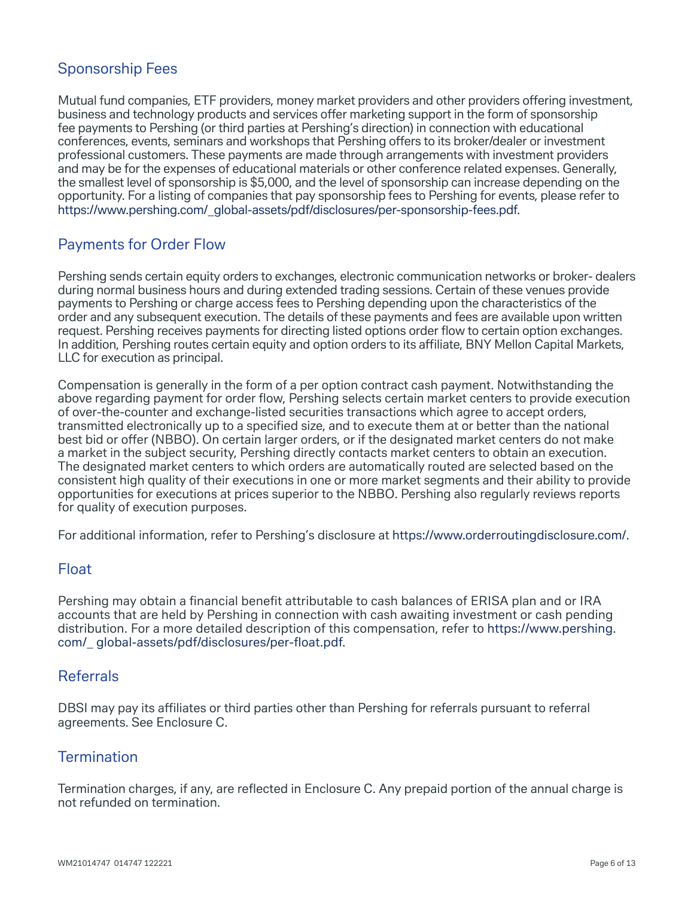## Sponsorship Fees

Mutual fund companies, ETF providers, money market providers and other providers offering investment, business and technology products and services offer marketing support in the form of sponsorship fee payments to Pershing (or third parties at Pershing's direction) in connection with educational conferences, events, seminars and workshops that Pershing offers to its broker/dealer or investment professional customers. These payments are made through arrangements with investment providers and may be for the expenses of educational materials or other conference related expenses. Generally, the smallest level of sponsorship is \$5,000, and the level of sponsorship can increase depending on the opportunity. For a listing of companies that pay sponsorship fees to Pershing for events, please refer to https://www.pershing.com/\_global-assets/pdf/disclosures/per-sponsorship-fees.pdf.

### Payments for Order Flow

Pershing sends certain equity orders to exchanges, electronic communication networks or broker- dealers during normal business hours and during extended trading sessions. Certain of these venues provide payments to Pershing or charge access fees to Pershing depending upon the characteristics of the order and any subsequent execution. The details of these payments and fees are available upon written request. Pershing receives payments for directing listed options order flow to certain option exchanges. In addition, Pershing routes certain equity and option orders to its affiliate, BNY Mellon Capital Markets, LLC for execution as principal.

Compensation is generally in the form of a per option contract cash payment. Notwithstanding the above regarding payment for order flow, Pershing selects certain market centers to provide execution of over-the-counter and exchange-listed securities transactions which agree to accept orders, transmitted electronically up to a specified size, and to execute them at or better than the national best bid or offer (NBBO). On certain larger orders, or if the designated market centers do not make a market in the subject security, Pershing directly contacts market centers to obtain an execution. The designated market centers to which orders are automatically routed are selected based on the consistent high quality of their executions in one or more market segments and their ability to provide opportunities for executions at prices superior to the NBBO. Pershing also regularly reviews reports for quality of execution purposes.

For additional information, refer to Pershing's disclosure at https://www.orderroutingdisclosure.com/.

#### Float

Pershing may obtain a financial benefit attributable to cash balances of ERISA plan and or IRA accounts that are held by Pershing in connection with cash awaiting investment or cash pending distribution. For a more detailed description of this compensation, refer to [https://www.pershing.](https://www.pershing.com/_ global-assets/pdf/disclosures/per-float.pdf.) [com/\\_ global-assets/pdf/disclosures/per-float.pdf.](https://www.pershing.com/_ global-assets/pdf/disclosures/per-float.pdf.)

#### Referrals

DBSI may pay its affiliates or third parties other than Pershing for referrals pursuant to referral agreements. See Enclosure C.

#### **Termination**

Termination charges, if any, are reflected in Enclosure C. Any prepaid portion of the annual charge is not refunded on termination.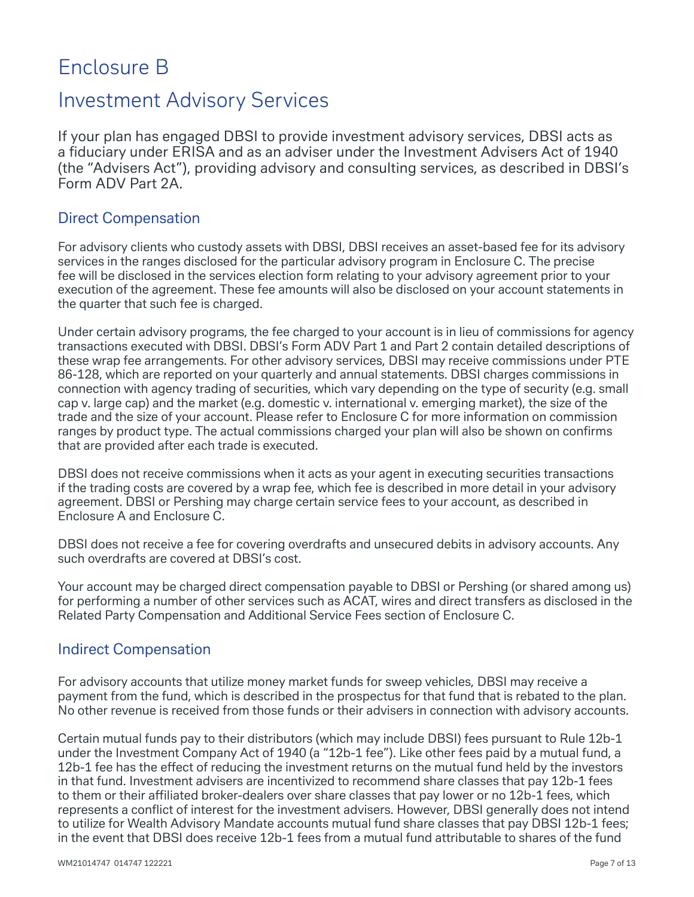# Enclosure B

# Investment Advisory Services

If your plan has engaged DBSI to provide investment advisory services, DBSI acts as a fiduciary under ERISA and as an adviser under the Investment Advisers Act of 1940 (the "Advisers Act"), providing advisory and consulting services, as described in DBSI's Form ADV Part 2A.

### Direct Compensation

For advisory clients who custody assets with DBSI, DBSI receives an asset-based fee for its advisory services in the ranges disclosed for the particular advisory program in Enclosure C. The precise fee will be disclosed in the services election form relating to your advisory agreement prior to your execution of the agreement. These fee amounts will also be disclosed on your account statements in the quarter that such fee is charged.

Under certain advisory programs, the fee charged to your account is in lieu of commissions for agency transactions executed with DBSI. DBSI's Form ADV Part 1 and Part 2 contain detailed descriptions of these wrap fee arrangements. For other advisory services, DBSI may receive commissions under PTE 86-128, which are reported on your quarterly and annual statements. DBSI charges commissions in connection with agency trading of securities, which vary depending on the type of security (e.g. small cap v. large cap) and the market (e.g. domestic v. international v. emerging market), the size of the trade and the size of your account. Please refer to Enclosure C for more information on commission ranges by product type. The actual commissions charged your plan will also be shown on confirms that are provided after each trade is executed.

DBSI does not receive commissions when it acts as your agent in executing securities transactions if the trading costs are covered by a wrap fee, which fee is described in more detail in your advisory agreement. DBSI or Pershing may charge certain service fees to your account, as described in Enclosure A and Enclosure C.

DBSI does not receive a fee for covering overdrafts and unsecured debits in advisory accounts. Any such overdrafts are covered at DBSI's cost.

Your account may be charged direct compensation payable to DBSI or Pershing (or shared among us) for performing a number of other services such as ACAT, wires and direct transfers as disclosed in the Related Party Compensation and Additional Service Fees section of Enclosure C.

### Indirect Compensation

For advisory accounts that utilize money market funds for sweep vehicles, DBSI may receive a payment from the fund, which is described in the prospectus for that fund that is rebated to the plan. No other revenue is received from those funds or their advisers in connection with advisory accounts.

Certain mutual funds pay to their distributors (which may include DBSI) fees pursuant to Rule 12b-1 under the Investment Company Act of 1940 (a "12b-1 fee"). Like other fees paid by a mutual fund, a 12b-1 fee has the effect of reducing the investment returns on the mutual fund held by the investors in that fund. Investment advisers are incentivized to recommend share classes that pay 12b-1 fees to them or their affiliated broker-dealers over share classes that pay lower or no 12b-1 fees, which represents a conflict of interest for the investment advisers. However, DBSI generally does not intend to utilize for Wealth Advisory Mandate accounts mutual fund share classes that pay DBSI 12b-1 fees; in the event that DBSI does receive 12b-1 fees from a mutual fund attributable to shares of the fund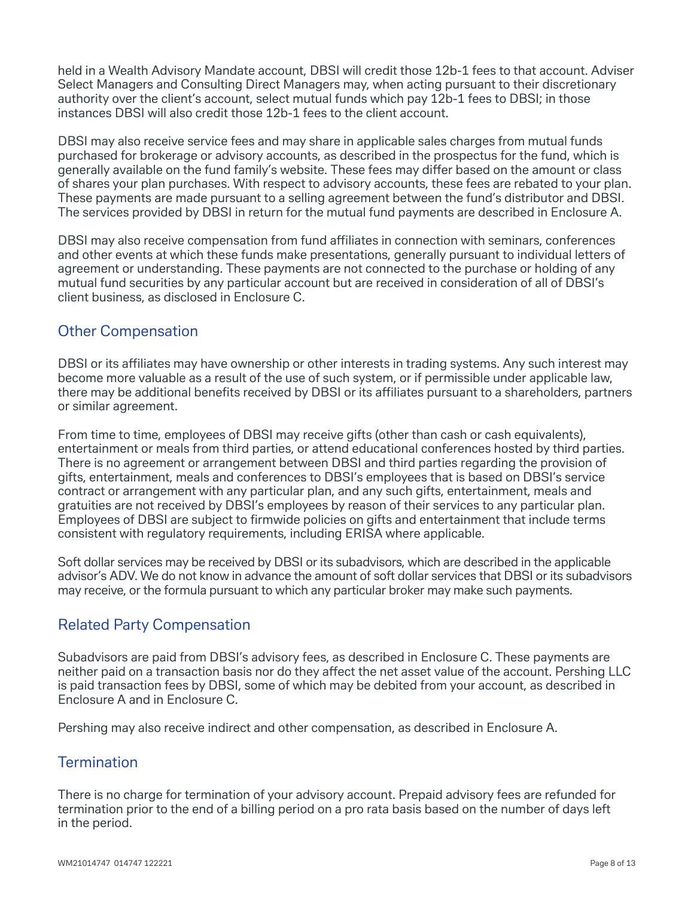held in a Wealth Advisory Mandate account, DBSI will credit those 12b-1 fees to that account. Adviser Select Managers and Consulting Direct Managers may, when acting pursuant to their discretionary authority over the client's account, select mutual funds which pay 12b-1 fees to DBSI; in those instances DBSI will also credit those 12b-1 fees to the client account.

DBSI may also receive service fees and may share in applicable sales charges from mutual funds purchased for brokerage or advisory accounts, as described in the prospectus for the fund, which is generally available on the fund family's website. These fees may differ based on the amount or class of shares your plan purchases. With respect to advisory accounts, these fees are rebated to your plan. These payments are made pursuant to a selling agreement between the fund's distributor and DBSI. The services provided by DBSI in return for the mutual fund payments are described in Enclosure A.

DBSI may also receive compensation from fund affiliates in connection with seminars, conferences and other events at which these funds make presentations, generally pursuant to individual letters of agreement or understanding. These payments are not connected to the purchase or holding of any mutual fund securities by any particular account but are received in consideration of all of DBSI's client business, as disclosed in Enclosure C.

#### Other Compensation

DBSI or its affiliates may have ownership or other interests in trading systems. Any such interest may become more valuable as a result of the use of such system, or if permissible under applicable law, there may be additional benefits received by DBSI or its affiliates pursuant to a shareholders, partners or similar agreement.

From time to time, employees of DBSI may receive gifts (other than cash or cash equivalents), entertainment or meals from third parties, or attend educational conferences hosted by third parties. There is no agreement or arrangement between DBSI and third parties regarding the provision of gifts, entertainment, meals and conferences to DBSI's employees that is based on DBSI's service contract or arrangement with any particular plan, and any such gifts, entertainment, meals and gratuities are not received by DBSI's employees by reason of their services to any particular plan. Employees of DBSI are subject to firmwide policies on gifts and entertainment that include terms consistent with regulatory requirements, including ERISA where applicable.

Soft dollar services may be received by DBSI or its subadvisors, which are described in the applicable advisor's ADV. We do not know in advance the amount of soft dollar services that DBSI or its subadvisors may receive, or the formula pursuant to which any particular broker may make such payments.

### Related Party Compensation

Subadvisors are paid from DBSI's advisory fees, as described in Enclosure C. These payments are neither paid on a transaction basis nor do they affect the net asset value of the account. Pershing LLC is paid transaction fees by DBSI, some of which may be debited from your account, as described in Enclosure A and in Enclosure C.

Pershing may also receive indirect and other compensation, as described in Enclosure A.

#### **Termination**

There is no charge for termination of your advisory account. Prepaid advisory fees are refunded for termination prior to the end of a billing period on a pro rata basis based on the number of days left in the period.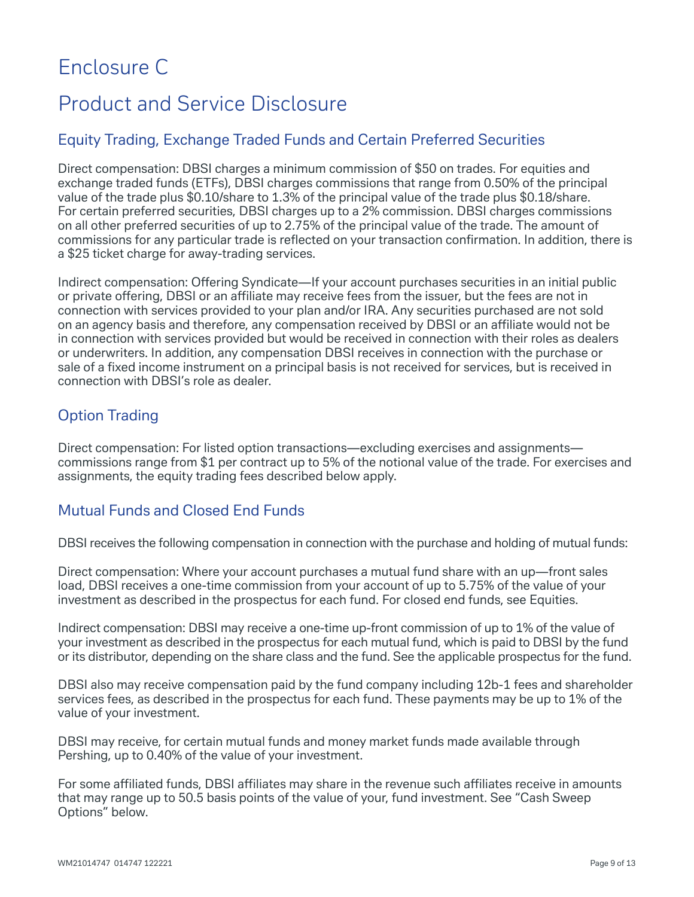# Enclosure C

# Product and Service Disclosure

#### Equity Trading, Exchange Traded Funds and Certain Preferred Securities

Direct compensation: DBSI charges a minimum commission of \$50 on trades. For equities and exchange traded funds (ETFs), DBSI charges commissions that range from 0.50% of the principal value of the trade plus \$0.10/share to 1.3% of the principal value of the trade plus \$0.18/share. For certain preferred securities, DBSI charges up to a 2% commission. DBSI charges commissions on all other preferred securities of up to 2.75% of the principal value of the trade. The amount of commissions for any particular trade is reflected on your transaction confirmation. In addition, there is a \$25 ticket charge for away-trading services.

Indirect compensation: Offering Syndicate—If your account purchases securities in an initial public or private offering, DBSI or an affiliate may receive fees from the issuer, but the fees are not in connection with services provided to your plan and/or IRA. Any securities purchased are not sold on an agency basis and therefore, any compensation received by DBSI or an affiliate would not be in connection with services provided but would be received in connection with their roles as dealers or underwriters. In addition, any compensation DBSI receives in connection with the purchase or sale of a fixed income instrument on a principal basis is not received for services, but is received in connection with DBSI's role as dealer.

# Option Trading

Direct compensation: For listed option transactions—excluding exercises and assignments commissions range from \$1 per contract up to 5% of the notional value of the trade. For exercises and assignments, the equity trading fees described below apply.

#### Mutual Funds and Closed End Funds

DBSI receives the following compensation in connection with the purchase and holding of mutual funds:

Direct compensation: Where your account purchases a mutual fund share with an up—front sales load, DBSI receives a one-time commission from your account of up to 5.75% of the value of your investment as described in the prospectus for each fund. For closed end funds, see Equities.

Indirect compensation: DBSI may receive a one-time up-front commission of up to 1% of the value of your investment as described in the prospectus for each mutual fund, which is paid to DBSI by the fund or its distributor, depending on the share class and the fund. See the applicable prospectus for the fund.

DBSI also may receive compensation paid by the fund company including 12b-1 fees and shareholder services fees, as described in the prospectus for each fund. These payments may be up to 1% of the value of your investment.

DBSI may receive, for certain mutual funds and money market funds made available through Pershing, up to 0.40% of the value of your investment.

For some affiliated funds, DBSI affiliates may share in the revenue such affiliates receive in amounts that may range up to 50.5 basis points of the value of your, fund investment. See "Cash Sweep Options" below.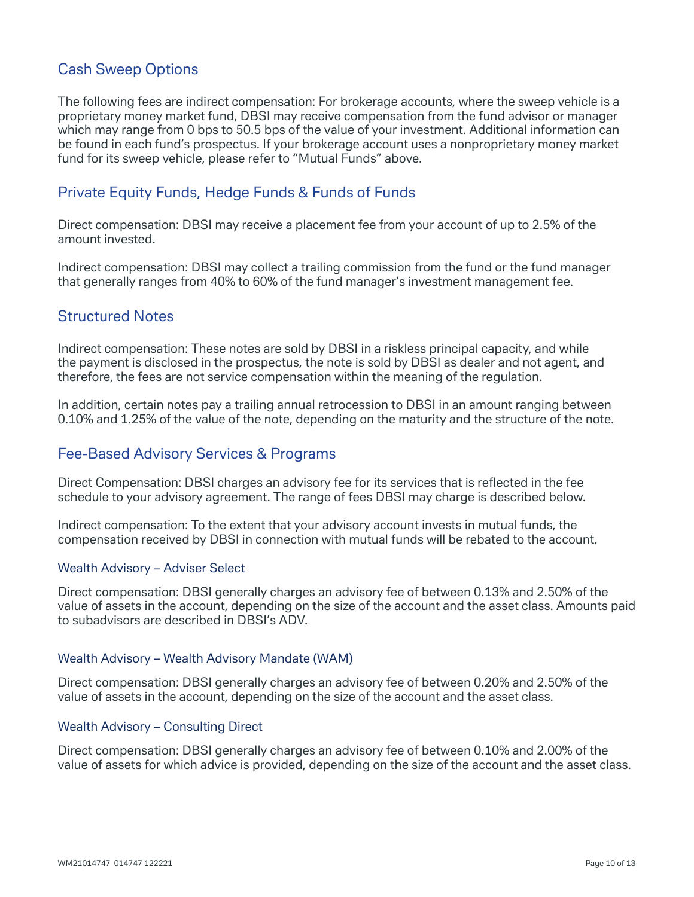## Cash Sweep Options

The following fees are indirect compensation: For brokerage accounts, where the sweep vehicle is a proprietary money market fund, DBSI may receive compensation from the fund advisor or manager which may range from 0 bps to 50.5 bps of the value of your investment. Additional information can be found in each fund's prospectus. If your brokerage account uses a nonproprietary money market fund for its sweep vehicle, please refer to "Mutual Funds" above.

#### Private Equity Funds, Hedge Funds & Funds of Funds

Direct compensation: DBSI may receive a placement fee from your account of up to 2.5% of the amount invested.

Indirect compensation: DBSI may collect a trailing commission from the fund or the fund manager that generally ranges from 40% to 60% of the fund manager's investment management fee.

#### Structured Notes

Indirect compensation: These notes are sold by DBSI in a riskless principal capacity, and while the payment is disclosed in the prospectus, the note is sold by DBSI as dealer and not agent, and therefore, the fees are not service compensation within the meaning of the regulation.

In addition, certain notes pay a trailing annual retrocession to DBSI in an amount ranging between 0.10% and 1.25% of the value of the note, depending on the maturity and the structure of the note.

#### Fee-Based Advisory Services & Programs

Direct Compensation: DBSI charges an advisory fee for its services that is reflected in the fee schedule to your advisory agreement. The range of fees DBSI may charge is described below.

Indirect compensation: To the extent that your advisory account invests in mutual funds, the compensation received by DBSI in connection with mutual funds will be rebated to the account.

#### Wealth Advisory – Adviser Select

Direct compensation: DBSI generally charges an advisory fee of between 0.13% and 2.50% of the value of assets in the account, depending on the size of the account and the asset class. Amounts paid to subadvisors are described in DBSI's ADV.

#### Wealth Advisory – Wealth Advisory Mandate (WAM)

Direct compensation: DBSI generally charges an advisory fee of between 0.20% and 2.50% of the value of assets in the account, depending on the size of the account and the asset class.

#### Wealth Advisory – Consulting Direct

Direct compensation: DBSI generally charges an advisory fee of between 0.10% and 2.00% of the value of assets for which advice is provided, depending on the size of the account and the asset class.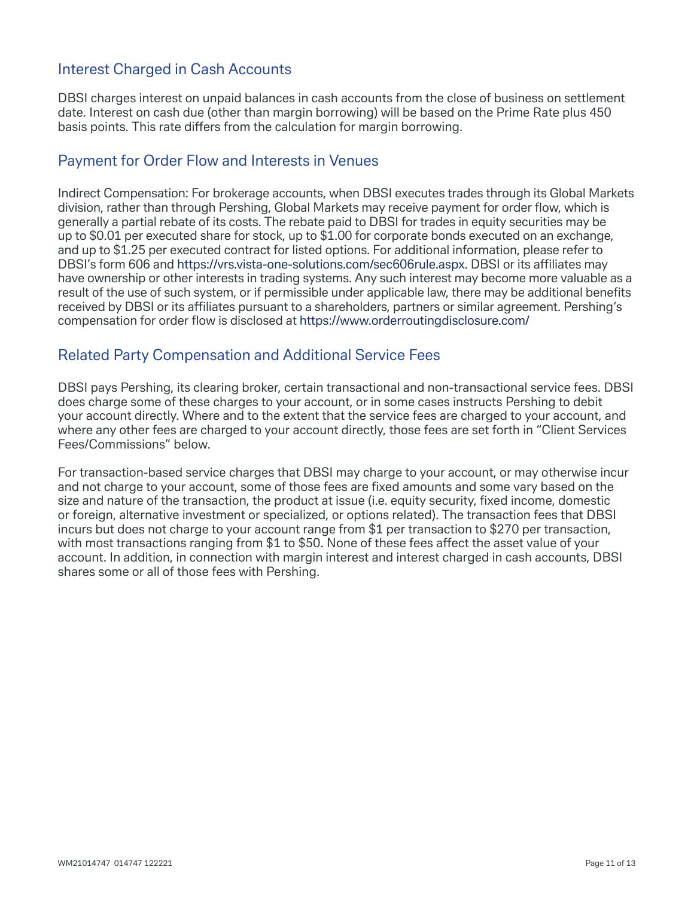### Interest Charged in Cash Accounts

DBSI charges interest on unpaid balances in cash accounts from the close of business on settlement date. Interest on cash due (other than margin borrowing) will be based on the Prime Rate plus 450 basis points. This rate differs from the calculation for margin borrowing.

#### Payment for Order Flow and Interests in Venues

Indirect Compensation: For brokerage accounts, when DBSI executes trades through its Global Markets division, rather than through Pershing, Global Markets may receive payment for order flow, which is generally a partial rebate of its costs. The rebate paid to DBSI for trades in equity securities may be up to \$0.01 per executed share for stock, up to \$1.00 for corporate bonds executed on an exchange, and up to \$1.25 per executed contract for listed options. For additional information, please refer to DBSI's form 606 and https://vrs.vista-one-solutions.com/sec606rule.aspx. DBSI or its affiliates may have ownership or other interests in trading systems. Any such interest may become more valuable as a result of the use of such system, or if permissible under applicable law, there may be additional benefits received by DBSI or its affiliates pursuant to a shareholders, partners or similar agreement. Pershing's compensation for order flow is disclosed at https://www.orderroutingdisclosure.com/

#### Related Party Compensation and Additional Service Fees

DBSI pays Pershing, its clearing broker, certain transactional and non-transactional service fees. DBSI does charge some of these charges to your account, or in some cases instructs Pershing to debit your account directly. Where and to the extent that the service fees are charged to your account, and where any other fees are charged to your account directly, those fees are set forth in "Client Services Fees/Commissions" below.

For transaction-based service charges that DBSI may charge to your account, or may otherwise incur and not charge to your account, some of those fees are fixed amounts and some vary based on the size and nature of the transaction, the product at issue (i.e. equity security, fixed income, domestic or foreign, alternative investment or specialized, or options related). The transaction fees that DBSI incurs but does not charge to your account range from \$1 per transaction to \$270 per transaction, with most transactions ranging from \$1 to \$50. None of these fees affect the asset value of your account. In addition, in connection with margin interest and interest charged in cash accounts, DBSI shares some or all of those fees with Pershing.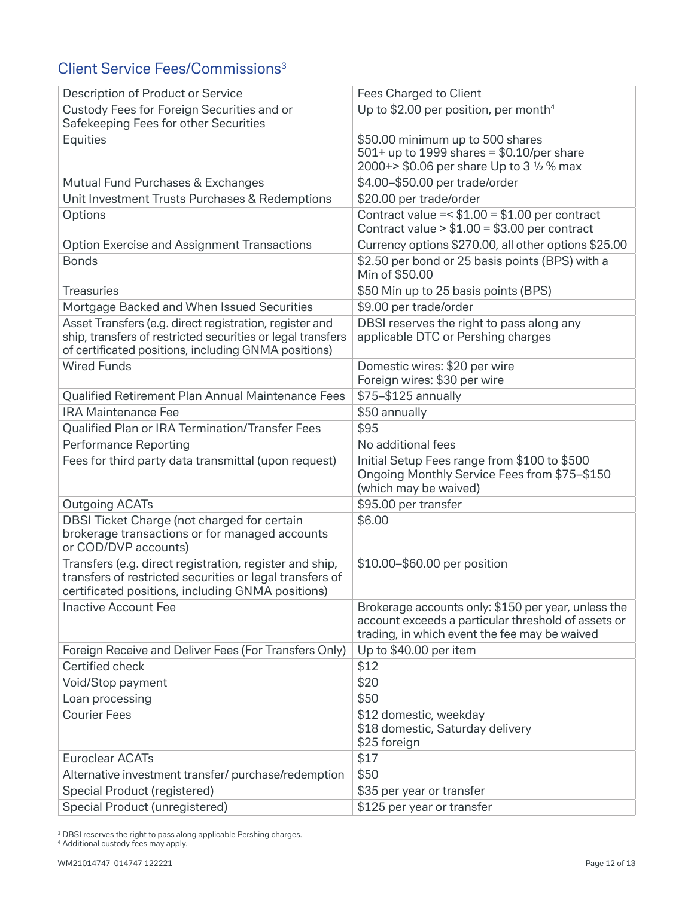# Client Service Fees/Commissions3

| Description of Product or Service                                                                                                                                        | Fees Charged to Client                                                                                                                                      |
|--------------------------------------------------------------------------------------------------------------------------------------------------------------------------|-------------------------------------------------------------------------------------------------------------------------------------------------------------|
| Custody Fees for Foreign Securities and or<br>Safekeeping Fees for other Securities                                                                                      | Up to \$2.00 per position, per month <sup>4</sup>                                                                                                           |
| Equities                                                                                                                                                                 | \$50.00 minimum up to 500 shares                                                                                                                            |
|                                                                                                                                                                          | $501+$ up to 1999 shares = \$0.10/per share                                                                                                                 |
|                                                                                                                                                                          | 2000+> \$0.06 per share Up to 3 1/2 % max                                                                                                                   |
| Mutual Fund Purchases & Exchanges                                                                                                                                        | \$4.00-\$50.00 per trade/order                                                                                                                              |
| Unit Investment Trusts Purchases & Redemptions                                                                                                                           | \$20.00 per trade/order                                                                                                                                     |
| Options                                                                                                                                                                  | Contract value = $$1.00 = $1.00$ per contract<br>Contract value $> $1.00 = $3.00$ per contract                                                              |
| <b>Option Exercise and Assignment Transactions</b>                                                                                                                       | Currency options \$270.00, all other options \$25.00                                                                                                        |
| <b>Bonds</b>                                                                                                                                                             | \$2.50 per bond or 25 basis points (BPS) with a<br>Min of \$50.00                                                                                           |
| <b>Treasuries</b>                                                                                                                                                        | \$50 Min up to 25 basis points (BPS)                                                                                                                        |
| Mortgage Backed and When Issued Securities                                                                                                                               | \$9.00 per trade/order                                                                                                                                      |
| Asset Transfers (e.g. direct registration, register and                                                                                                                  | DBSI reserves the right to pass along any                                                                                                                   |
| ship, transfers of restricted securities or legal transfers<br>of certificated positions, including GNMA positions)                                                      | applicable DTC or Pershing charges                                                                                                                          |
| <b>Wired Funds</b>                                                                                                                                                       | Domestic wires: \$20 per wire                                                                                                                               |
|                                                                                                                                                                          | Foreign wires: \$30 per wire                                                                                                                                |
| Qualified Retirement Plan Annual Maintenance Fees                                                                                                                        | \$75-\$125 annually                                                                                                                                         |
| <b>IRA Maintenance Fee</b>                                                                                                                                               | \$50 annually                                                                                                                                               |
| Qualified Plan or IRA Termination/Transfer Fees                                                                                                                          | \$95                                                                                                                                                        |
| <b>Performance Reporting</b>                                                                                                                                             | No additional fees                                                                                                                                          |
| Fees for third party data transmittal (upon request)                                                                                                                     | Initial Setup Fees range from \$100 to \$500<br>Ongoing Monthly Service Fees from \$75-\$150<br>(which may be waived)                                       |
| <b>Outgoing ACATs</b>                                                                                                                                                    | \$95.00 per transfer                                                                                                                                        |
| DBSI Ticket Charge (not charged for certain<br>brokerage transactions or for managed accounts<br>or COD/DVP accounts)                                                    | \$6.00                                                                                                                                                      |
| Transfers (e.g. direct registration, register and ship,<br>transfers of restricted securities or legal transfers of<br>certificated positions, including GNMA positions) | \$10.00-\$60.00 per position                                                                                                                                |
| <b>Inactive Account Fee</b>                                                                                                                                              | Brokerage accounts only: \$150 per year, unless the<br>account exceeds a particular threshold of assets or<br>trading, in which event the fee may be waived |
| Foreign Receive and Deliver Fees (For Transfers Only)                                                                                                                    | Up to \$40.00 per item                                                                                                                                      |
| Certified check                                                                                                                                                          | \$12                                                                                                                                                        |
| Void/Stop payment                                                                                                                                                        | \$20                                                                                                                                                        |
| Loan processing                                                                                                                                                          | \$50                                                                                                                                                        |
| <b>Courier Fees</b>                                                                                                                                                      | \$12 domestic, weekday<br>\$18 domestic, Saturday delivery<br>\$25 foreign                                                                                  |
| <b>Euroclear ACATs</b>                                                                                                                                                   | \$17                                                                                                                                                        |
| Alternative investment transfer/ purchase/redemption                                                                                                                     | \$50                                                                                                                                                        |
| Special Product (registered)                                                                                                                                             | \$35 per year or transfer                                                                                                                                   |
| Special Product (unregistered)                                                                                                                                           | \$125 per year or transfer                                                                                                                                  |

<sup>3</sup> DBSI reserves the right to pass along applicable Pershing charges.

4 Additional custody fees may apply.